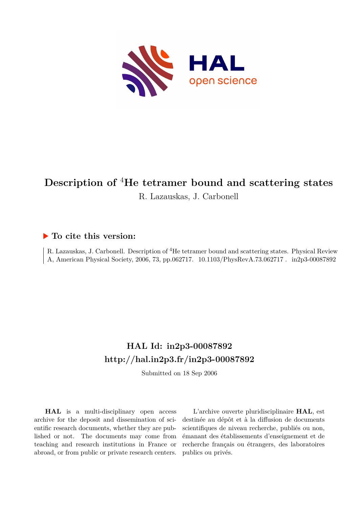

# **Description of** <sup>4</sup>**He tetramer bound and scattering states**

R. Lazauskas, J. Carbonell

## **To cite this version:**

R. Lazauskas, J. Carbonell. Description of <sup>4</sup>He tetramer bound and scattering states. Physical Review A, American Physical Society, 2006, 73, pp.062717. 10.1103/PhysRevA.73.062717. in2p3-00087892

## **HAL Id: in2p3-00087892 <http://hal.in2p3.fr/in2p3-00087892>**

Submitted on 18 Sep 2006

**HAL** is a multi-disciplinary open access archive for the deposit and dissemination of scientific research documents, whether they are published or not. The documents may come from teaching and research institutions in France or abroad, or from public or private research centers.

L'archive ouverte pluridisciplinaire **HAL**, est destinée au dépôt et à la diffusion de documents scientifiques de niveau recherche, publiés ou non, émanant des établissements d'enseignement et de recherche français ou étrangers, des laboratoires publics ou privés.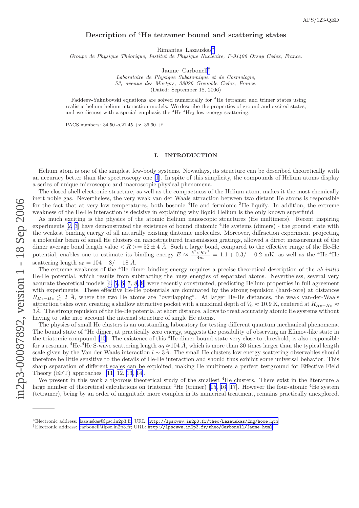### Description of <sup>4</sup>He tetramer bound and scattering states

Rimantas Lazauskas ∗

Groupe de Physique Théorique, Institut de Physique Nucléaire, F-91406 Orsay Cedex, France.

Jaume Carbonell †

Laboratoire de Physique Subatomique et de Cosmologie, 53, avenue des Martyrs, 38026 Grenoble Cedex, France. (Dated: September 18, 2006)

Faddeev-Yakubovski equations are solved numerically for <sup>4</sup>He tetramer and trimer states using realistic helium-helium interaction models. We describe the properties of ground and excited states, and we discuss with a special emphasis the  ${}^{4}$ He- ${}^{4}$ He<sub>3</sub> low energy scattering.

PACS numbers: 34.50.-s,21.45.+v, 36.90.+f

#### I. INTRODUCTION

Helium atom is one of the simplest few-body systems. Nowadays, its structure can be described theoretically with an accuracy better than the spectroscopy one [\[1](#page-15-0)]. In spite of this simplicity, the compounds of Helium atoms display a series of unique microscopic and macroscopic physical phenomena.

The closed shell electronic structure, as well as the compactness of the Helium atom, makes it the most chemically inert noble gas. Nevertheless, the very weak van der Waals attraction between two distant He atoms is responsible for the fact that at very low temperatures, both bosonic <sup>4</sup>He and fermionic <sup>3</sup>He liquify. In addition, the extreme weakness of the He-He interaction is decisive in explaining why liquid Helium is the only known superfluid.

As much exciting is the physics of the atomic Helium nanoscopic structures (He multimers). Recent inspiring experiments[[2, 3\]](#page-15-0) have demonstrated the existence of bound diatomic <sup>4</sup>He systems (dimers) - the ground state with the weakest binding energy of all naturally existing diatomic molecules. Moreover, diffraction experiment projecting a molecular beam of small He clusters on nanostructured transmission gratings, allowed a direct measurement of the dimer average bond length value  $\langle R \rangle = 52 \pm 4$  Å. Such a large bond, compared to the effective range of the He-He potential, enables one to estimate its binding energy  $E \approx \frac{\hbar^2 \langle R \rangle^2}{4m}$  $\frac{4R}{4m}$  = 1.1 + 0.3/ - 0.2 mK, as well as the <sup>4</sup>He-<sup>4</sup>He scattering length  $a_0 = 104 + 8/-18$  Å.

The extreme weakness of the <sup>4</sup>He dimer binding energy requires a precise theoretical description of the ab initio He-He potential, which results from subtracting the huge energies of separated atoms. Nevertheless, several very accurate theoretical models[[4, 5, 6, 7, 8, 9](#page-15-0)] were recently constructed, predicting Helium properties in full agreemen t with experiments. These effective He-He potentials are dominated by the strong repulsion (hard-core) at distances  $R_{He-He} \lesssim 2$  Å, where the two He atoms are "overlapping". At larger He-He distances, the weak van-der-Waals attraction takes over, creating a shallow attractive pocket with a maximal depth of  $V_0 \approx 10.9$  K, centered at  $R_{He-He} \approx$  $3\AA$ . The strong repulsion of the He-He potential at short distance, allows to treat accurately atomic He systems without having to take into account the internal structure of single He atoms.

The physics of small He clusters is an outstanding laboratory for testing different quantum mechanical phenomena. The bound state of <sup>4</sup>He dimer, at practically zero energy, suggests the possibility of observing an Efimov-like state in the triatomic compound [\[10](#page-15-0)]. The existence of this <sup>4</sup>He dimer bound state very close to threshold, is also responsible for a resonant <sup>4</sup>He-<sup>4</sup>He S-wave scattering length  $a_0 \approx 104$  Å, which is more than 30 times larger than the typical length scale given by the Van der Waals interaction  $l \sim 3\AA$ . The small He clusters low energy scattering observables should therefore be little sensitive to the details of He-He interaction and should thus exhibit some universal behavior. This sharp separation of different scales can be exploited, making He multimers a perfect testground for Effective Field Theory (EFT) approaches [\[11, 12, 13, 14\]](#page-15-0).

We present in this work a rigorous theoretical study of the smallest <sup>4</sup>He clusters. There exist in the literature a largenumber of theoretical calculations on triatomic <sup>4</sup>He (trimer) [[15, 16, 17\]](#page-15-0). However the four-atomic <sup>4</sup>He system (tetramer), being by an order of magnitude more complex in its numerical treatment, remains practically unexplored.

<sup>∗</sup>Electronic address: [lazauskas@lpsc.in2p3.fr;](mailto:lazauskas@lpsc.in2p3.fr) URL: <http://lpscwww.in2p3.fr/theo/Lazauskas/Eng/home.htm>

<sup>†</sup>Electronic address: [carbonell@lpsc.in2p3.fr;](mailto:carbonell@lpsc.in2p3.fr) URL: <http://lpscwww.in2p3.fr/theo/Carbonell/Jaume.html>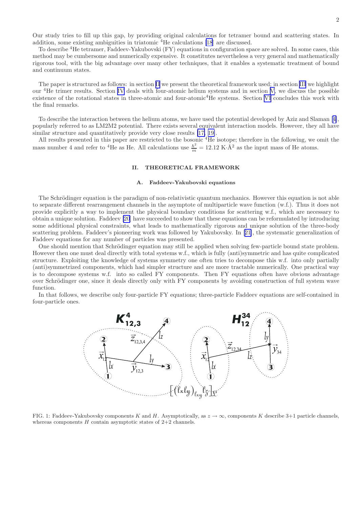<span id="page-2-0"></span>Our study tries to fill up this gap, by providing original calculations for tetramer bound and scattering states. In addition, some existing ambiguities in triatomic <sup>4</sup>He calculations [\[18](#page-15-0)] are discussed.

To describe <sup>4</sup>He tetramer, Faddeev-Yakubovski (FY) equations in configuration space are solved. In some cases, this method may be cumbersome and numerically expensive. It constitutes nevertheless a very general and mathematically rigorous tool, with the big advantage over many other techniques, that it enables a systematic treatment of bound and continuum states.

The paper is structured as follows: in section II we present the theoretical framework used; in section [III](#page-5-0) we highlight our <sup>4</sup>He trimer results. Section [IV](#page-8-0) deals with four-atomic helium systems and in section [V](#page-13-0), we discuss the possible existence of the rotational states in three-atomic and four-atomic<sup>4</sup>He systems. Section [VI](#page-14-0) concludes this work with the final remarks.

To describe the interaction between the helium atoms, we have used the potential developed by Aziz and Slaman[[4\]](#page-15-0), popularly referred to as LM2M2 potential. There exists several equivalent interaction models. However, they all have similar structure and quantitatively provide very close results [\[17, 19\]](#page-15-0).

All results presented in this paper are restricted to the bosonic <sup>4</sup>He isotope; therefore in the following, we omit the mass number 4 and refer to <sup>4</sup>He as He. All calculations use  $\frac{\hbar^2}{m} = 12.12 \text{ K} \cdot \text{\AA}^2$  as the input mass of He atoms.

#### II. THEORETICAL FRAMEWORK

#### A. Faddeev-Yakubovski equations

The Schrödinger equation is the paradigm of non-relativistic quantum mechanics. However this equation is not able to separate different rearrangement channels in the asymptote of multiparticle wave function (w.f.). Thus it does not provide explicitly a way to implement the physical boundary conditions for scattering w.f., which are necessary to obtain a unique solution. Faddeev [\[20](#page-15-0)] have succeeded to show that these equations can be reformulated by introducing some additional physical constraints, what leads to mathematically rigorous and unique solution of the three-body scattering problem. Faddeev's pioneering work was followed by Yakubovsky. In[[21\]](#page-15-0), the systematic generalization of Faddeev equations for any number of particles was presented.

One should mention that Schrödinger equation may still be applied when solving few-particle bound state problem. However then one must deal directly with total systems w.f., which is fully (anti)symmetric and has quite complicated structure. Exploiting the knowledge of systems symmetry one often tries to decompose this w.f. into only partially (anti)symmetrized components, which had simpler structure and are more tractable numerically. One practical way is to decompose systems w.f. into so called FY components. Then FY equations often have obvious advantage over Schrödinger one, since it deals directly only with FY components by avoiding construction of full system wave function.

In that follows, we describe only four-particle FY equations; three-particle Faddeev equations are self-contained in four-particle ones.



FIG. 1: Faddeev-Yakubovsky components K and H. Asymptotically, as  $z \to \infty$ , components K describe 3+1 particle channels, whereas components  $H$  contain asymptotic states of  $2+2$  channels.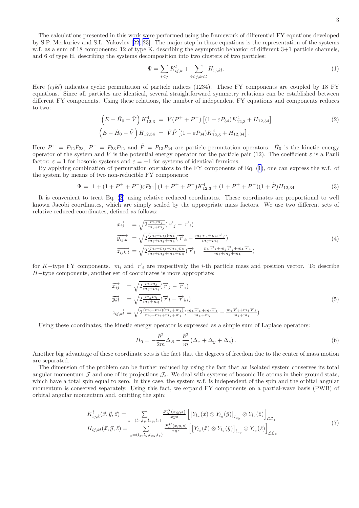<span id="page-3-0"></span>The calculations presented in this work were performed using the framework of differential FY equations developed by S.P. Merkuriev and S.L. Yakovlev[[22, 23\]](#page-15-0). The major step in these equations is the representation of the systems w.f. as a sum of 18 components: 12 of type K, describing the asymptotic behavior of different 3+1 particle channels, and 6 of type H, describing the systems decomposition into two clusters of two particles:

$$
\Psi = \sum_{i < j} K_{ij,k}^l + \sum_{i < j,k < l} H_{ij,kl}.\tag{1}
$$

Here  $(ijkl)$  indicates cyclic permutation of particle indices (1234). These FY components are coupled by 18 FY equations. Since all particles are identical, several straightforward symmetry relations can be established between different FY components. Using these relations, the number of independent FY equations and components reduces to two:

$$
\left(E - \hat{H}_0 - \hat{V}\right) K_{12,3}^4 = \hat{V}(P^+ + P^-) \left[ (1 + \varepsilon P_{34}) K_{12,3}^4 + H_{12,34} \right] \n\left(E - \hat{H}_0 - \hat{V}\right) H_{12,34} = \hat{V}\tilde{P} \left[ (1 + \varepsilon P_{34}) K_{12,3}^4 + H_{12,34} \right].
$$
\n(2)

Here  $P^+ = P_{12}P_{23}$ ,  $P^- = P_{23}P_{12}$  and  $\tilde{P} = P_{13}P_{24}$  are particle permutation operators.  $\hat{H}_0$  is the kinetic energy operator of the system and  $\hat{V}$  is the potential energy operator for the particle pair (12). The coefficient  $\varepsilon$  is a Pauli factor:  $\varepsilon = 1$  for bosonic systems and  $\varepsilon = -1$  for systems of identical fermions.

By applying combination of permutation operators to the FY components of Eq. (1), one can express the w.f. of the system by means of two non-reducible FY components:

$$
\Psi = \left[1 + (1 + P^{+} + P^{-})\varepsilon P_{34}\right](1 + P^{+} + P^{-})K_{12,3}^{4} + (1 + P^{+} + P^{-})(1 + \tilde{P})H_{12,34}
$$
\n(3)

It is convenient to treat Eq. (2) using relative reduced coordinates. These coordinates are proportional to well known Jacobi coordinates, which are simply scaled by the appropriate mass factors. We use two different sets of relative reduced coordinates, defined as follows:

$$
\overrightarrow{x_{ij}} = \sqrt{2 \frac{m_i m_j}{m_i + m_j}} (\overrightarrow{r}_j - \overrightarrow{r}_i)
$$
\n
$$
\overrightarrow{y_{ij,k}} = \sqrt{2 \frac{(m_i + m_j) m_k}{m_i + m_j + m_k}} (\overrightarrow{r}_k - \frac{m_i \overrightarrow{r}_i + m_j \overrightarrow{r}_j}{m_i + m_j})
$$
\n
$$
\overrightarrow{z_{ijk,l}} = \sqrt{2 \frac{(m_i + m_j + m_k) m_l}{m_i + m_j + m_k + m_l}} (\overrightarrow{r}_l - \frac{m_i \overrightarrow{r}_i + m_j \overrightarrow{r}_j + m_k \overrightarrow{r}_k}{m_i + m_j + m_k})
$$
\n(4)

for K−type FY components.  $m_i$  and  $\vec{r}_i$  are respectively the *i*-th particle mass and position vector. To describe H−type components, another set of coordinates is more appropriate:

$$
\begin{aligned}\n\overrightarrow{x_{ij}} &= \sqrt{2 \frac{m_i m_j}{m_i + m_j}} (\overrightarrow{r}_j - \overrightarrow{r}_i) \\
\overrightarrow{y_{kl}} &= \sqrt{2 \frac{m_k m_l}{m_k + m_l}} (\overrightarrow{r}_l - \overrightarrow{r}_{ki}) \\
\overrightarrow{z_{ij,kl}} &= \sqrt{2 \frac{(m_i + m_j)(m_k + m_l)}{m_i + m_k + m_l}} (\frac{m_k \overrightarrow{r}_k + m_l \overrightarrow{r}_l}{m_k + m_l} - \frac{m_i \overrightarrow{r}_i + m_j \overrightarrow{r}_j}{m_i + m_j})\n\end{aligned}\n\tag{5}
$$

Using these coordinates, the kinetic energy operator is expressed as a simple sum of Laplace operators:

$$
H_0 = -\frac{\hbar^2}{2m}\Delta_R - \frac{\hbar^2}{m}\left(\Delta_x + \Delta_y + \Delta_z\right). \tag{6}
$$

Another big advantage of these coordinate sets is the fact that the degrees of freedom due to the center of mass motion are separated.

The dimension of the problem can be further reduced by using the fact that an isolated system conserves its total angular momentum  $\mathcal J$  and one of its projections  $\mathcal J_z$ . We deal with systems of bosonic He atoms in their ground state, which have a total spin equal to zero. In this case, the system w.f. is independent of the spin and the orbital angular momentum is conserved separately. Using this fact, we expand FY components on a partial-wave basis (PWB) of orbital angular momentum and, omitting the spin:

$$
K_{ij,k}^l(\vec{x}, \vec{y}, \vec{z}) = \sum_{\alpha = (l_x, l_y, l_{xy}, l_z)} \frac{\mathcal{F}_{\alpha}^K(x, y, z)}{xyz} \left[ \left[ Y_{l_x}(\hat{x}) \otimes Y_{l_y}(\hat{y}) \right]_{l_{xy}} \otimes Y_{l_z}(\hat{z}) \right]_{\mathcal{LL}_z} H_{ij,kl}(\vec{x}, \vec{y}, \vec{z}) = \sum_{\alpha = (l_x, l_y, l_{xy}, l_z)} \frac{\mathcal{F}_{\alpha}^H(x, y, z)}{xyz} \left[ \left[ Y_{l_x}(\hat{x}) \otimes Y_{l_y}(\hat{y}) \right]_{l_{xy}} \otimes Y_{l_z}(\hat{z}) \right]_{\mathcal{LL}_z}
$$
(7)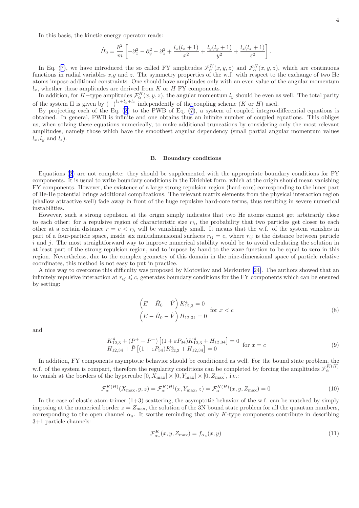<span id="page-4-0"></span>In this basis, the kinetic energy operator reads:

$$
\hat{H}_0 = \frac{\hbar^2}{m} \left[ -\partial_x^2 - \partial_y^2 - \partial_z^2 + \frac{l_x(l_x+1)}{x^2} + \frac{l_y(l_y+1)}{y^2} + \frac{l_z(l_z+1)}{z^2} \right].
$$

In Eq. ([7\)](#page-3-0), we have introduced the so called FY amplitudes  $\mathcal{F}_{\alpha}^{K}(x, y, z)$  and  $\mathcal{F}_{\alpha}^{H}(x, y, z)$ , which are continuous functions in radial variables  $x,y$  and z. The symmetry properties of the w.f. with respect to the exchange of two He atoms impose additional constraints. One should have amplitudes only with an even value of the angular momentum  $l_x$ , whether these amplitudes are derived from K or H FY components.

In addition, for H-type amplitudes  $\mathcal{F}_{\alpha}^{H}(x, y, z)$ , the angular momentum  $l_{y}$  should be even as well. The total parity of the system  $\Pi$  is given by  $\left(\frac{1}{x}+l_y+l_z\right)$  independently of the coupling scheme  $(K$  or  $H)$  used.

By projecting each of the Eq. [\(2](#page-3-0)) to the PWB of Eq. [\(7](#page-3-0)), a system of coupled integro-differential equations is obtained. In general, PWB is infinite and one obtains thus an infinite number of coupled equations. This obliges us, when solving these equations numerically, to make additional truncations by considering only the most relevant amplitudes, namely those which have the smoothest angular dependency (small partial angular momentum values  $l_x, l_y$  and  $l_z$ ).

#### B. Boundary conditions

Equations [\(2](#page-3-0)) are not complete: they should be supplemented with the appropriate boundary conditions for FY components. It is usual to write boundary conditions in the Dirichlet form, which at the origin should mean vanishing FY components. However, the existence of a large strong repulsion region (hard-core) corresponding to the inner part of He-He potential brings additional complications. The relevant matrix elements from the physical interaction region (shallow attractive well) fade away in front of the huge repulsive hard-core terms, thus resulting in severe numerical instabilities.

However, such a strong repulsion at the origin simply indicates that two He atoms cannot get arbitrarily close to each other: for a repulsive region of characteristic size  $r_h$ , the probability that two particles get closer to each other at a certain distance  $r = c < r_h$  will be vanishingly small. It means that the w.f. of the system vanishes in part of a four-particle space, inside six multidimensional surfaces  $r_{ij} = c$ , where  $r_{ij}$  is the distance between particle i and j. The most straightforward way to improve numerical stability would be to avoid calculating the solution in at least part of the strong repulsion region, and to impose by hand to the wave function to be equal to zero in this region. Nevertheless, due to the complex geometry of this domain in the nine-dimensional space of particle relative coordinates, this method is not easy to put in practice.

A nice way to overcome this difficulty was proposed by Motovilov and Merkuriev [\[24\]](#page-15-0). The authors showed that an infinitely repulsive interaction at  $r_{ij} \leq c$ , generates boundary conditions for the FY components which can be ensured by setting:

$$
\left(E - \hat{H}_0 - \hat{V}\right) K_{12,3}^4 = 0
$$
  
\n
$$
\left(E - \hat{H}_0 - \hat{V}\right) H_{12,34} = 0
$$
 for  $x < c$  (8)

and

$$
K_{12,3}^4 + (P^+ + P^-) \left[ (1 + \varepsilon P_{34}) K_{12,3}^4 + H_{12,34} \right] = 0 \quad \text{for } x = c
$$
  
\n
$$
H_{12,34} + \tilde{P} \left[ (1 + \varepsilon P_{34}) K_{12,3}^4 + H_{12,34} \right] = 0 \quad \text{for } x = c
$$
\n(9)

In addition, FY components asymptotic behavior should be conditioned as well. For the bound state problem, the w.f. of the system is compact, therefore the regularity conditions can be completed by forcing the amplitudes  $\mathcal{F}_{\alpha}^{K(H)}$ to vanish at the borders of the hypercube  $[0, X_{\text{max}}] \times [0, Y_{\text{max}}] \times [0, Z_{\text{max}}]$ , i.e.:

$$
\mathcal{F}_{\alpha}^{K(H)}(X_{\max}, y, z) = \mathcal{F}_{\alpha}^{K(H)}(x, Y_{\max}, z) = \mathcal{F}_{\alpha}^{K(H)}(x, y, Z_{\max}) = 0
$$
\n(10)

In the case of elastic atom-trimer  $(1+3)$  scattering, the asymptotic behavior of the w.f. can be matched by simply imposing at the numerical border  $z = Z_{\text{max}}$ , the solution of the 3N bound state problem for all the quantum numbers, corresponding to the open channel  $\alpha_a$ . It worths reminding that only K-type components contribute in describing 3+1 particle channels:

$$
\mathcal{F}_{\alpha_a}^K(x, y, Z_{\text{max}}) = f_{\alpha_a}(x, y)
$$
\n(11)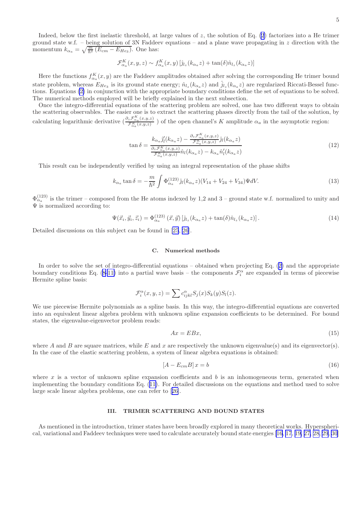<span id="page-5-0"></span>Indeed, below the first inelastic threshold, at large values of  $z$ , the solution of Eq. [\(2](#page-3-0)) factorizes into a He trimer ground state w.f. – being solution of 3N Faddeev equations – and a plane wave propagating in  $z$  direction with the momentum  $k_{\alpha_a} = \sqrt{\frac{m}{\hbar^2} (E_{cm} - E_{He_3})}$ . One has:

$$
\mathcal{F}_{\alpha_a}^K(x, y, z) \sim f_{\alpha_a}^K(x, y) \left[ \hat{\jmath}_{l_z}(k_{\alpha_a} z) + \tan(\delta) \hat{n}_{l_z}(k_{\alpha_a} z) \right]
$$

Here the functions  $f_{\alpha_a}^K(x, y)$  are the Faddeev amplitudes obtained after solving the corresponding He trimer bound state problem, whereas  $E_{He_3}$  is its ground state energy;  $\hat{n}_{l_z}(k_{\alpha_a}z)$  and  $\hat{j}_{l_z}(k_{\alpha_a}z)$  are regularized Riccati-Bessel functions. Equations [\(2\)](#page-3-0) in conjunction with the appropriate boundary conditions define the set of equations to be solved. The numerical methods employed will be briefly explained in the next subsection.

Once the integro-differential equations of the scattering problem are solved, one has two different ways to obtain the scattering observables. The easier one is to extract the scattering phases directly from the tail of the solution, by calculating logarithmic derivative  $\left(\frac{\partial_z \mathcal{F}_{\alpha_a}^K(x,y,z)}{\mathcal{F}_{\alpha_a}^K(x,y,z)}\right)$  $\frac{z^{\nu} \alpha_a(x,y,z)}{\mathcal{F}_{\alpha_a}^K(x,y,z)}$ ) of the open channel's K amplitude  $\alpha_a$  in the asymptotic region:

$$
\tan \delta = \frac{k_{\alpha_a} \hat{\jmath}_l'(k_{\alpha_a} z) - \frac{\partial_z \mathcal{F}_{\alpha_a}^K(x, y, z)}{\mathcal{F}_{\alpha_a}^K(x, y, z)} \hat{\jmath}_l(k_{\alpha_a} z)}{\frac{\partial_z \mathcal{F}_{\alpha_a}^K(x, y, z)}{\mathcal{F}_{\alpha_a}^K(x, y, z)} \hat{n}_l(k_{\alpha_a} z) - k_{\alpha_a} \hat{n}_l'(k_{\alpha_a} z)}
$$
(12)

This result can be independently verified by using an integral representation of the phase shifts

$$
k_{\alpha_a} \tan \delta = -\frac{m}{\hbar^2} \int \Phi_{\alpha_a}^{(123)} \hat{j}_l (k_{\alpha_a} z) (V_{14} + V_{24} + V_{34}) \Psi dV.
$$
 (13)

 $\Phi_{\alpha_a}^{(123)}$  is the trimer – composed from the He atoms indexed by 1,2 and 3 – ground state w.f. normalized to unity and  $\Psi$  is normalized according to:

$$
\Psi(\vec{x}_i, \vec{y}_i, \vec{z}_i) = \Phi_{\alpha_a}^{(123)}(\vec{x}, \vec{y}) \left[ \hat{\jmath}_{l_z}(k_{\alpha_a} z) + \tan(\delta) \hat{n}_{l_z}(k_{\alpha_a} z) \right]. \tag{14}
$$

Detailed discussions on this subject can be found in [\[25](#page-15-0), [26](#page-15-0)].

#### C. Numerical methods

In order to solve the set of integro-differential equations – obtained when projecting Eq. ([2\)](#page-3-0) and the appropriate boundary conditions Eq. [\(8-11\)](#page-4-0) into a partial wave basis – the components  $\mathcal{F}_i^{\alpha}$  are expanded in terms of piecewise Hermite spline basis:

$$
\mathcal{F}_i^{\alpha}(x, y, z) = \sum c_{ijkl}^{\alpha} S_j(x) S_k(y) S_l(z).
$$

We use piecewise Hermite polynomials as a spline basis. In this way, the integro-differential equations are converted into an equivalent linear algebra problem with unknown spline expansion coefficients to be determined. For bound states, the eigenvalue-eigenvector problem reads:

$$
Ax = EBx,\tag{15}
$$

where A and B are square matrices, while E and x are respectively the unknown eigenvalue(s) and its eigenvector(s). In the case of the elastic scattering problem, a system of linear algebra equations is obtained:

$$
[A - E_{cm}B]x = b \tag{16}
$$

where x is a vector of unknown spline expansion coefficients and b is an inhomogeneous term, generated when implementing the boundary conditions Eq. ([11\)](#page-4-0). For detailed discussions on the equations and method used to solve large scale linear algebra problems, one can refer to[[26\]](#page-15-0).

#### III. TRIMER SCATTERING AND BOUND STATES

As mentioned in the introduction, trimer states have been broadly explored in many theoretical works. Hyperspherical, variational and Faddeev techniques were used to calculate accurately bound state energies [\[16](#page-15-0), [17](#page-15-0), [19, 27, 28, 29](#page-15-0), [30](#page-15-0)]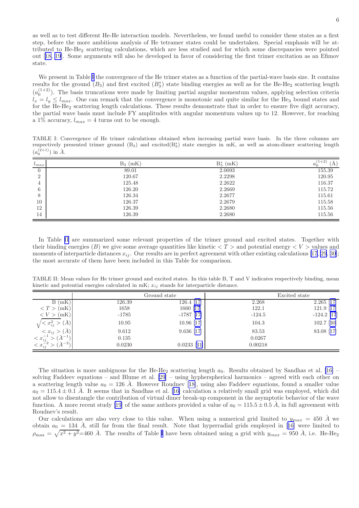<span id="page-6-0"></span>as well as to test different He-He interaction models. Nevertheless, we found useful to consider these states as a first step, before the more ambitious analysis of He tetramer states could be undertaken. Special emphasis will be attributed to He-He<sup>2</sup> scattering calculations, which are less studied and for which some discrepancies were pointed out[[18, 19](#page-15-0)]. Some arguments will also be developed in favor of considering the first trimer excitation as an Efimov state.

We present in Table I the convergence of the He trimer states as a function of the partial-wave basis size. It contains results for the ground  $(B_3)$  and first excited  $(B_3^*)$  state binding energies as well as for the He-He<sub>2</sub> scattering length  $(a_0^{(1+2)})$ . The basis truncations were made by limiting partial angular momentum values, applying selection criteria  $l_x = l_y \leq l_{max}$ . One can remark that the convergence is monotonic and quite similar for the He<sub>3</sub> bound states and for the He-He<sub>2</sub> scattering length calculations. These results demonstrate that in order to ensure five digit accuracy, the partial wave basis must include FY amplitudes with angular momentum values up to 12. However, for reaching a 1% accuracy,  $l_{max} = 4$  turns out to be enough.

TABLE I: Convergence of He trimer calculations obtained when increasing partial wave basis. In the three columns are respectively presented trimer ground (B3) and excited(B<sup>∗</sup> <sup>3</sup>) state energies in mK, as well as atom-dimer scattering length  $(a_0^{(2+1)})$  in  $A$ .

| $l_{max}$     | $B_3$ (mK) | $B_3^*$ (mK) | $(1+2)$<br>Å<br>$a_0$ |
|---------------|------------|--------------|-----------------------|
|               | 89.01      | 2.0093       | 155.39                |
| $\Omega$<br>∠ | 120.67     | 2.2298       | 120.95                |
| 4             | 125.48     | 2.2622       | 116.37                |
| 6             | 126.20     | 2.2669       | 115.72                |
| 8             | 126.34     | 2.2677       | 115.61                |
| 10            | 126.37     | 2.2679       | 115.58                |
| 12            | 126.39     | 2.2680       | 115.56                |
| 14            | 126.39     | 2.2680       | 115.56                |

In Table II are summarized some relevant properties of the trimer ground and excited states. Together with their binding energies (B) we give some average quantities like kinetic  $\langle T \rangle$  and potential energy  $\langle V \rangle$  values and moments of interparticle distances  $x_{ij}$ . Our results are in perfect agreement with other existing calculations [\[17](#page-15-0), [29](#page-15-0), [30\]](#page-15-0); the most accurate of them have been included in this Table for comparison.

TABLE II: Mean values for He trimer ground and excited states. In this table B, T and V indicates respectively binding, mean kinetic and potential energies calculated in  $mK$ ;  $x_{ij}$  stands for interparticle distance.

|                                             |         | Ground state  |          | Excited state           |
|---------------------------------------------|---------|---------------|----------|-------------------------|
| B(mK)                                       | 126.39  | 126.4 [17]    | 2.268    | $2.\overline{265}$ [17] |
| (mK)<br>$\langle T \rangle$                 | 1658    | 1660 [17]     | 122.1    | $121.9$ [17]            |
| (mK)<br>$\langle V \rangle$                 | $-1785$ | $-1787$ [17]  | $-124.5$ | $-124.2$ [17]           |
| $\AA$<br>$x_{ij}^2$                         | 10.95   | 10.96 [17]    | 104.3    | $102.7$ [30]            |
| $\langle x_{ij} \rangle (\mathring{A})$     | 9.612   | $9.636$ [17]  | 83.53    | 83.08 [17]              |
| $-1$<br>$\langle x_{ij} \rangle$            | 0.135   |               | 0.0267   |                         |
| $\langle x_{ij}^{-2} \rangle$<br>$\AA^{-2}$ | 0.0230  | $0.0233$ [31] | 0.00218  |                         |

The situation is more ambiguous for the He-He<sub>2</sub> scattering length  $a_0$ . Results obtained by Sandhas et al. [\[16\]](#page-15-0) – solving Faddeev equations – and Blume et al. [\[29](#page-15-0)] – using hypherspherical harmonics – agreed with each other on ascattering length value  $a_0 = 126$  Å. However Roudnev [[18\]](#page-15-0), using also Faddeev equations, found a smaller value  $a_0 = 115.4 \pm 0.1$  $a_0 = 115.4 \pm 0.1$  $a_0 = 115.4 \pm 0.1$  Å. It seems that in Sandhas et al. [[16\]](#page-15-0) calculation a relatively small grid was employed, which did not allow to disentangle the contribution of virtual dimer break-up component in the asymptotic behavior of the wave function. A more recent study [\[19](#page-15-0)] of the same authors provided a value of  $a_0 = 115.5 \pm 0.5 \text{ Å}$ , in full agreement with Roudnev's result.

Our calculations are also very close to this value. When using a numerical grid limited to  $y_{max} = 450 \text{ Å}$  we obtain $a_0 = 134 \text{ Å}$ , still far from the final result. Note that hyperradial grids employed in [[16\]](#page-15-0) were limited to  $\rho_{\text{max}} = \sqrt{x^2 + y^2} = 460 \text{ Å}.$  The results of Table I have been obtained using a grid with  $y_{max} = 950 \text{ Å},$  i.e. He-He<sub>2</sub>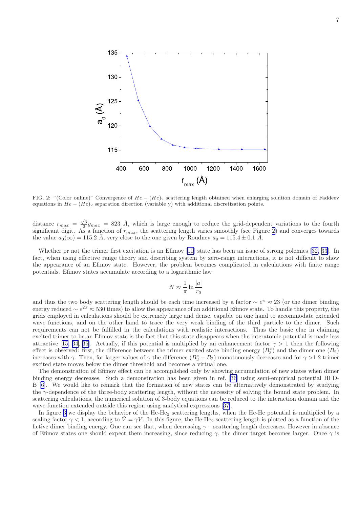

FIG. 2: "(Color online)" Convergence of  $He - (He)_2$  scattering length obtained when enlarging solution domain of Faddeev equations in  $He - (He)_2$  separation direction (variable y) with additional discretization points.

distance  $r_{max} = \frac{\sqrt{3}}{2} y_{max} = 823$  Å, which is large enough to reduce the grid-dependent variations to the fourth significant digit. As a function of  $r_{max}$ , the scattering length varies smoothly (see Figure 2) and converges towards the value  $a_0(\infty) = 115.2 \text{ Å}$ , very close to the one given by Roudnev  $a_0 = 115.4 \pm 0.1 \text{ Å}$ .

Whetheror not the trimer first excitation is an Efimov [[10\]](#page-15-0) state has been an issue of strong polemics [[32, 33\]](#page-15-0). In fact, when using effective range theory and describing system by zero-range interactions, it is not difficult to show the appearance of an Efimov state. However, the problem becomes complicated in calculations with finite range potentials. Efimov states accumulate according to a logarithmic law

$$
N \approx \frac{1}{\pi} \ln \frac{|a|}{r_0}
$$

and thus the two body scattering length should be each time increased by a factor  $\sim e^{\pi} \approx 23$  (or the dimer binding energy reduced  $\sim e^{2\pi} \approx 530$  times) to allow the appearance of an additional Efimov state. To handle this property, the grids employed in calculations should be extremely large and dense, capable on one hand to accommodate extended wave functions, and on the other hand to trace the very weak binding of the third particle to the dimer. Such requirements can not be fulfilled in the calculations with realistic interactions. Thus the basic clue in claiming excited trimer to be an Efimov state is the fact that this state disappears when the interatomic potential is made less attractive[[15, 34, 35\]](#page-15-0). Actually, if this potential is multiplied by an enhancement factor  $\gamma > 1$  then the following effect is observed: first, the difference between the trimer excited state binding energy  $(B_3^*)$  and the dimer one  $(B_2)$ increases with  $\gamma$ . Then, for larger values of  $\gamma$  the difference  $(B_3^* - B_2)$  monotonously decreases and for  $\gamma > 1.2$  trimer excited state moves below the dimer threshold and becomes a virtual one.

The demonstration of Efimov effect can be accomplished only by showing accumulation of new states when dimer binding energy decreases. Such a demonstration has been given in ref. [\[36](#page-15-0)] using semi-empirical potential HFD-B [\[6](#page-15-0)]. We would like to remark that the formation of new states can be alternatively demonstrated by studying the γ-dependence of the three-body scattering length, without the necessity of solving the bound state problem. In scattering calculations, the numerical solution of 3-body equations can be reduced to the interaction domain and the wave function extended outside this region using analytical expressions[[37\]](#page-15-0).

In figure [3](#page-8-0) we display the behavior of the He-He<sub>2</sub> scattering lengths, when the He-He potential is multiplied by a scaling factor  $\gamma < 1$ , according to  $\tilde{V} = \gamma V$ . In this figure, the He-He<sub>2</sub> scattering length is plotted as a function of the fictive dimer binding energy. One can see that, when decreasing  $\gamma$  – scattering length decreases. However in absence of Efimov states one should expect them increasing, since reducing  $\gamma$ , the dimer target becomes larger. Once  $\gamma$  is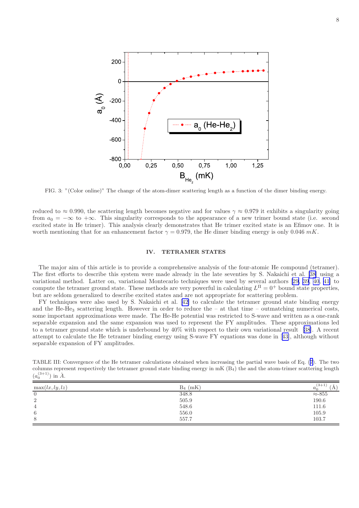<span id="page-8-0"></span>

FIG. 3: "(Color online)" The change of the atom-dimer scattering length as a function of the dimer binding energy.

reduced to  $\approx 0.990$ , the scattering length becomes negative and for values  $\gamma \approx 0.979$  it exhibits a singularity going from  $a_0 = -\infty$  to  $+\infty$ . This singularity corresponds to the appearance of a new trimer bound state (i.e. second excited state in He trimer). This analysis clearly demonstrates that He trimer excited state is an Efimov one. It is worth mentioning that for an enhancement factor  $\gamma = 0.979$ , the He dimer binding energy is only 0.046 mK.

#### IV. TETRAMER STATES

The major aim of this article is to provide a comprehensive analysis of the four-atomic He compound (tetramer). The first efforts to describe this system were made already in the late seventies by S. Nakaichi et al. [\[38](#page-15-0)] using a variational method. Latter on, variational Montecarlo techniques were used by several authors[[29, 39](#page-15-0), [40](#page-15-0), [41](#page-15-0)] to compute the tetramer ground state. These methods are very powerful in calculating  $L^{\Pi} = 0^{+}$  bound state properties, but are seldom generalized to describe excited states and are not appropriate for scattering problem.

FY techniques were also used by S. Nakaichi et al.[[42](#page-15-0)] to calculate the tetramer ground state binding energy and the He-He<sub>3</sub> scattering length. However in order to reduce the – at that time – outmatching numerical costs, some important approximations were made. The He-He potential was restricted to S-wave and written as a one-rank separable expansion and the same expansion was used to represent the FY amplitudes. These approximations led to a tetramer ground state which is underbound by 40% with respect to their own variational result [\[38](#page-15-0)]. A recent attempt to calculate the He tetramer binding energy using S-wave FY equations was done in[[43\]](#page-15-0), although without separable expansion of FY amplitudes.

TABLE III: Convergence of the He tetramer calculations obtained when increasing the partial wave basis of Eq. ([7](#page-3-0)). The two columns represent respectively the tetramer ground state binding energy in  $mK(B_4)$  the and the atom-trimer scattering length  $(a_0^{(3+1)})$  in  $A$ .

| $\max(lx, ly, lz)$ | $B_4$ (mK) | $(3+1)$<br>$a_{\alpha}$<br>A |
|--------------------|------------|------------------------------|
| $\theta$           | 348.8      | $\approx$ -855               |
| $\overline{2}$     | $505.9\,$  | 190.6                        |
| $\overline{4}$     | 548.6      | 111.6                        |
| 6                  | 556.0      | 105.9                        |
| 8                  | 557.7      | 103.7                        |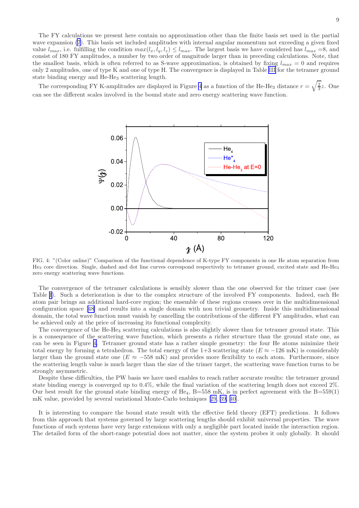<span id="page-9-0"></span>The FY calculations we present here contain no approximation other than the finite basis set used in the partial wave expansion [\(7](#page-3-0)). This basis set included amplitudes with internal angular momentum not exceeding a given fixed value  $l_{max}$ , i.e. fulfilling the condition  $max(l_x, l_y, l_z) \leq l_{max}$ . The largest basis we have considered has  $l_{max} = 8$ , and consist of 180 FY amplitudes, a number by two order of magnitude larger than in preceding calculations. Note, that the smallest basis, which is often referred to as S-wave approximation, is obtained by fixing  $l_{max} = 0$  and requires only 2 amplitudes, one of type K and one of type H. The convergence is displayed in Table [III](#page-8-0) for the tetramer ground state binding energy and He-He<sup>3</sup> scattering length.

The corresponding FY K-amplitudes are displayed in Figure 4 as a function of the He-He<sub>3</sub> distance  $r = \sqrt{\frac{2}{3}}z$ . One can see the different scales involved in the bound state and zero energy scattering wave function.



FIG. 4: "(Color online)" Comparison of the functional dependence of K-type FY components in one He atom separation from He<sup>3</sup> core direction. Single, dashed and dot line curves correspond respectively to tetramer ground, excited state and He-He<sup>3</sup> zero energy scattering wave functions.

The convergence of the tetramer calculations is sensibly slower than the one observed for the trimer case (see Table [I\)](#page-6-0). Such a deterioration is due to the complex structure of the involved FY components. Indeed, each He atom pair brings an additional hard-core region; the ensemble of these regions crosses over in the multidimensional configuration space[[48\]](#page-15-0) and results into a single domain with non trivial geometry. Inside this multidimensional domain, the total wave function must vanish by cancelling the contributions of the different FY amplitudes, what can be achieved only at the price of increasing its functional complexity.

The convergence of the He-He<sup>3</sup> scattering calculations is also slightly slower than for tetramer ground state. This is a consequence of the scattering wave function, which presents a richer structure than the ground state one, as can be seen in Figure 4. Tetramer ground state has a rather simple geometry: the four He atoms minimize their total energy by forming a tetrahedron. The total energy of the 1+3 scattering state ( $E \approx -126$  mK) is considerably larger than the ground state one ( $E \approx -558$  mK) and provides more flexibility to each atom. Furthermore, since the scattering length value is much larger than the size of the trimer target, the scattering wave function turns to be strongly asymmetric.

Despite these difficulties, the PW basis we have used enables to reach rather accurate results: the tetramer ground state binding energy is converged up to 0.4%, while the final variation of the scattering length does not exceed 2%. Our best result for the ground state binding energy of He<sub>4</sub>, B=558 mK, is in perfect agreement with the B=559(1) mK value, provided by several variational Monte-Carlo techniques[[29, 39, 40\]](#page-15-0).

It is interesting to compare the bound state result with the effective field theory (EFT) predictions. It follows from this approach that systems governed by large scattering lengths should exhibit universal properties. The wave functions of such systems have very large extensions with only a negligible part located inside the interaction region. The detailed form of the short-range potential does not matter, since the system probes it only globally. It should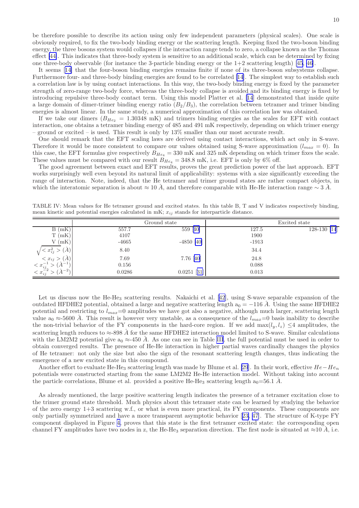be therefore possible to describe its action using only few independent parameters (physical scales). One scale is obviously required, to fix the two-body binding energy or the scattering length. Keeping fixed the two-boson binding energy, the three bosons system would collapses if the interaction range tends to zero, a collapse known as the Thomas effect [\[44\]](#page-15-0). This indicates that three-body system is sensitive to an additional scale, which can be determined by fixing one three-body observable (for instance the 3-particle binding energy or the  $1+2$  scattering length) [\[45](#page-15-0), [46](#page-15-0)].

It seems[[14\]](#page-15-0) that the four-boson binding energies remains finite if none of its three-boson subsystems collapse. Furthermore four- and three-body binding energies are found to be correlated [\[14](#page-15-0)]. The simplest way to establish such a correlation law is by using contact interactions. In this way, the two-body binding energy is fixed by the parameter strength of zero-range two-body force, whereas the three-body collapse is avoided and its binding energy is fixed by introducing repulsive three-body contact term. Using this model Platter et al. [\[14](#page-15-0)] demonstrated that inside quite a large domain of dimer-trimer binding energy ratio  $(B_2/B_3)$ , the correlation between tetramer and trimer binding energies is almost linear. In the same study, a numerical approximation of this correlation law was obtained.

If we take our dimers ( $B_{He_2} = 1.30348$  mK) and trimers binding energies as the scales for EFT with contact interaction, one obtains a tetramer binding energy of 485 and 491 mK respectively, depending on which trimer energy – ground or excited – is used. This result is only by 13% smaller than our most accurate result.

One should remark that the EFT scaling laws are derived using contact interactions, which act only in S-wave. Therefore it would be more consistent to compare our values obtained using S-wave approximation  $(l_{max} = 0)$ . In this case, the EFT formulas give respectively  $B_{He_4} = 330$  mK and 325 mK depending on which trimer fixes the scale. These values must be compared with our result  $B_{He_4} = 348.8 \text{ mK}$ , i.e. EFT is only by 6% off.

The good agreement between exact and EFT results, proves the great prediction power of the last approach. EFT works surprisingly well even beyond its natural limit of applicability: systems with a size significantly exceeding the range of interaction. Note, indeed, that the He tetramer and trimer ground states are rather compact objects, in which the interatomic separation is about  $\approx 10 \AA$ , and therefore comparable with He-He interaction range  $\sim 3 \AA$ .

TABLE IV: Mean values for He tetramer ground and excited states. In this table B, T and V indicates respectively binding, mean kinetic and potential energies calculated in  $mK$ ;  $x_{ij}$  stands for interparticle distance.

|                                                                                |         | Ground state  |         | Excited state             |
|--------------------------------------------------------------------------------|---------|---------------|---------|---------------------------|
| B(mK)                                                                          | 557.7   | 559 [40]      | 127.5   | $\overline{128-130}$ [14] |
| (mK)<br>T(                                                                     | 4107    |               | 1900    |                           |
| $V$ (mK)                                                                       | $-4665$ | $-4850$ [40]  | $-1913$ |                           |
| $\AA$ )<br>$x_{ij}^2$                                                          | 8.40    |               | 34.4    |                           |
| $\langle x_{ij} \rangle (\mathring{A})$                                        | 7.69    | 7.76 [40]     | 24.8    |                           |
| $\AA^{-1}$                                                                     | 0.156   |               | 0.088   |                           |
| $\begin{array}{c} < x_{ij}^{-1} \\ < x_{ij}^{-2} \end{array}$<br>$>(A^{-2})^1$ | 0.0286  | $0.0251$ [31] | 0.013   |                           |

Let us discuss now the He-He<sub>3</sub> scattering results. Nakaichi et al. [\[42](#page-15-0)], using S-wave separable expansion of the outdated HFDHE2 potential, obtained a large and negative scattering length  $a_0 = -116 \text{ Å}$ . Using the same HFDHE2 potential and restricting to  $l_{max}=0$  amplitudes we have got also a negative, although much larger, scattering length value  $a_0 \approx 5600$  Å. This result is however very unstable, as a consequence of the  $l_{max}=0$  basis inability to describe the non-trivial behavior of the FY components in the hard-core region. If we add  $\max(l_y, l_z) \leq 4$  amplitudes, the scattering length reduces to  $\approx$ -898 Å for the same HFDHE2 interaction model limited to S-wave. Similar calculations with the LM2M2 potential give  $a_0 \approx 450 \text{ Å}$ . As one can see in Table [III](#page-8-0), the full potential must be used in order to obtain converged results. The presence of He-He interaction in higher partial waves cardinally changes the physics of He tetramer: not only the size but also the sign of the resonant scattering length changes, thus indicating the emergence of a new excited state in this compound.

Another effort to evaluate He-He<sub>3</sub> scattering length was made by Blume et al. [\[29](#page-15-0)]. In their work, effective  $He-He_n$ potentials were constructed starting from the same LM2M2 He-He interaction model. Without taking into account the particle correlations, Blume et al. provided a positive He-He<sub>3</sub> scattering length  $a_0=56.1 \text{ Å}$ .

As already mentioned, the large positive scattering length indicates the presence of a tetramer excitation close to the trimer ground state threshold. Much physics about this tetramer state can be learned by studying the behavior of the zero energy 1+3 scattering w.f., or what is even more practical, its FY components. These components are only partially symmetrized and have a more transparent asymptotic behavior[[23, 47\]](#page-15-0). The structure of K-type FY component displayed in Figure [4,](#page-9-0) proves that this state is the first tetramer excited state: the corresponding open channel FY amplitudes have two nodes in z, the He-He<sub>3</sub> separation direction. The first node is situated at  $\approx$ 10 Å, i.e.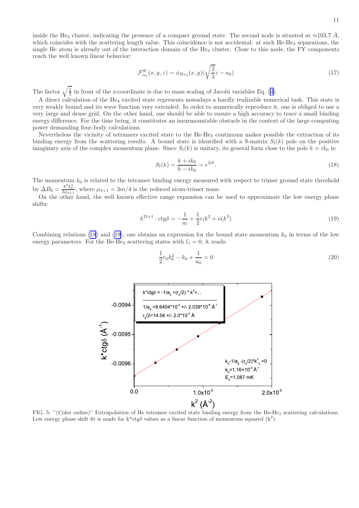$$
\mathcal{F}_{\alpha_a}^K(x, y, z) \sim \phi_{He_3}(x, y) \left(\sqrt{\frac{2}{3}}z - a_0\right)
$$
\n(17)

<span id="page-11-0"></span>The factor  $\sqrt{\frac{2}{3}}$  in front of the z-coordinate is due to mass scaling of Jacobi variables Eq. ([4\)](#page-3-0).

A direct calculation of the He<sup>4</sup> excited state represents nowadays a hardly realizable numerical task. This state is very weakly bound and its wave function very extended. In order to numerically reproduce it, one is obliged to use a very large and dense grid. On the other hand, one should be able to ensure a high accuracy to trace a small binding energy difference. For the time being, it constitutes an insurmountable obstacle in the context of the large computing power demanding four-body calculations.

Nevertheless the vicinity of tetramers excited state to the He-He<sup>3</sup> continuum makes possible the extraction of its binding energy from the scattering results. A bound state is identified with a S-matrix  $S_l(k)$  pole on the positive imaginary axis of the complex momentum plane. Since  $S_l(k)$  is unitary, its general form close to the pole  $k = ik_0$  is:

$$
S_l(k) = \frac{k + ik_0}{k - ik_0} = e^{2i\delta}.
$$
\n(18)

The momentum  $k_0$  is related to the tetramer binding energy measured with respect to trimer ground state threshold by  $\Delta B_0 = \frac{\hbar^2 k_0^2}{2\mu_{3+1}}$ , where  $\mu_{3+1} = 3m/4$  is the reduced atom-trimer mass.

On the other hand, the well known effective range expansion can be used to approximate the low energy phase shifts:

$$
k^{2l+1} \cdot \text{ctg}\delta = -\frac{1}{a_l} + \frac{1}{2}r_l k^2 + o(k^2)
$$
 (19)

Combining relations (18) and (19), one obtains an expression for the bound state momentum  $k_0$  in terms of the low energy parameters. For the He-He<sub>3</sub> scattering states with  $l_z = 0$ , it reads:

$$
\frac{1}{2}r_0k_0^2 - k_0 + \frac{1}{a_0} = 0\tag{20}
$$



FIG. 5: "(Color online)" Extrapolation of He tetramer excited state binding energy from the He-He<sup>3</sup> scattering calculations. Low energy phase shift fit is made for  $k^*$ ctg $\delta$  values as a linear function of momentum squared  $(k^2)$ .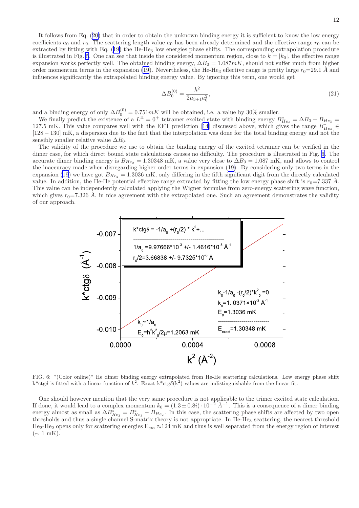It follows from Eq. ([20\)](#page-11-0) that in order to obtain the unknown binding energy it is sufficient to know the low energy coefficients  $a_0$  and  $r_0$ . The scattering length value  $a_0$  has been already determined and the effective range  $r_0$  can be extracted by fitting with Eq. ([19\)](#page-11-0) the He-He<sup>3</sup> low energies phase shifts. The corresponding extrapolation procedure is illustrated in Fig. [5](#page-11-0). One can see that inside the considered momentum region, close to  $k = |k_0|$ , the effective range expansion works perfectly well. The obtained binding energy,  $\Delta B_0 = 1.087 mK$ , should not suffer much from higher order momentum terms in the expansion [\(19](#page-11-0)). Nevertheless, the He-He<sub>3</sub> effective range is pretty large  $r_0=29.1 \text{ Å}$  and influences significantly the extrapolated binding energy value. By ignoring this term, one would get

$$
\Delta B_0^{(0)} = \frac{\hbar^2}{2\mu_{3+1}a_0^2},\tag{21}
$$

and a binding energy of only  $\Delta B_0^{(0)} = 0.751 mK$  will be obtained, i.e. a value by 30% smaller.

We finally predict the existence of a  $L^{\Pi} = 0^+$  tetramer excited state with binding energy  $B_{He_4}^* = \Delta B_0 + B_{He_3} =$ 127.5mK. This value compares well with the EFT prediction [[14\]](#page-15-0) discussed above, which gives the range  $B_{He_4}^* \in$ [128 − 130] mK, a dispersion due to the fact that the interpolation was done for the total binding energy and not the sensibly smaller relative value  $\Delta B_0$ .

The validity of the procedure we use to obtain the binding energy of the excited tetramer can be verified in the dimer case, for which direct bound state calculations causes no difficulty. The procedure is illustrated in Fig. 6. The accurate dimer binding energy is  $B_{He_2} = 1.30348 \text{ mK}$ , a value very close to  $\Delta B_0 = 1.087 \text{ mK}$ , and allows to control the inaccuracy made when disregarding higher order terms in expansion ([19\)](#page-11-0). By considering only two terms in the expansion ([19\)](#page-11-0) we have got  $B_{He_2} = 1.3036$  mK, only differing in the fifth significant digit from the directly calculated value. In addition, the He-He potential effective range extracted by fitting the low energy phase shift is  $r_0$ =7.337 Å. This value can be independently calculated applying the Wigner formulae from zero-energy scattering wave function, which gives  $r_0$ =7.326 Å, in nice agreement with the extrapolated one. Such an agreement demonstrates the validity of our approach.



FIG. 6: "(Color online)" He dimer binding energy extrapolated from He-He scattering calculations. Low energy phase shift  $k^*$ ctg $\delta$  is fitted with a linear function of  $k^2$ . Exact  $k^*$ ctg $\delta(k^2)$  values are indistinguishable from the linear fit.

One should however mention that the very same procedure is not applicable to the trimer excited state calculation. If done, it would lead to a complex momentum  $k_0 = (1.3 \pm 0.8i) \cdot 10^{-2} \text{ Å}^{-1}$ . This is a consequence of a dimer binding energy almost as small as  $\Delta B_{He_3}^* = B_{He_3}^* - B_{He_2}$ . In this case, the scattering phase shifts are affected by two open thresholds and thus a single channel S-matrix theory is not appropriate. In He-He<sup>3</sup> scattering, the nearest threshold He<sub>2</sub>-He<sub>2</sub> opens only for scattering energies  $E_{cm} \approx 124 \text{ mK}$  and thus is well separated from the energy region of interest  $(\sim 1$  mK).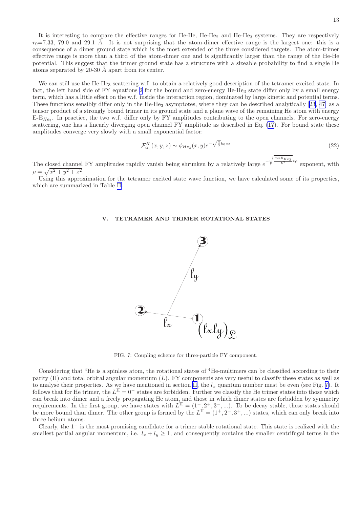<span id="page-13-0"></span>It is interesting to compare the effective ranges for He-He, He-He<sub>2</sub> and He-He<sub>3</sub> systems. They are respectively  $r_0$ =7.33, 79.0 and 29.1 Å. It is not surprising that the atom-dimer effective range is the largest one: this is a consequence of a dimer ground state which is the most extended of the three considered targets. The atom-trimer effective range is more than a third of the atom-dimer one and is significantly larger than the range of the He-He potential. This suggest that the trimer ground state has a structure with a sizeable probability to find a single He atoms separated by 20-30  $\AA$  apart from its center.

We can still use the He-He<sub>3</sub> scattering w.f. to obtain a relatively good description of the tetramer excited state. In fact, the left hand side of FY equations [2](#page-3-0) for the bound and zero-energy He-He<sub>3</sub> state differ only by a small energy term, which has a little effect on the w.f. inside the interaction region, dominated by large kinetic and potential terms. Thesefunctions sensibly differ only in the He-He<sub>3</sub> asymptotes, where they can be described analytically [[23, 47\]](#page-15-0) as a tensor product of a strongly bound trimer in its ground state and a plane wave of the remaining He atom with energy  $E-E_{He_3}$ . In practice, the two w.f. differ only by FY amplitudes contributing to the open channels. For zero-energy scattering, one has a linearly diverging open channel FY amplitude as described in Eq. [\(17](#page-11-0)). For bound state these amplitudes converge very slowly with a small exponential factor:

$$
\mathcal{F}_{\alpha_a}^K(x, y, z) \sim \phi_{He_3}(x, y)e^{-\sqrt{\frac{2}{3}}k_0 * z}
$$
\n
$$
(22)
$$

The closed channel FY amplitudes rapidly vanish being shrunken by a relatively large  $e$ − <sup>1</sup>  $m*B_{He_3}$  $rac{\overline{h}^2}{\hbar^2} * \rho$ exponent, with  $\rho = \sqrt{x^2 + y^2 + z^2}.$ 

Using this approximation for the tetramer excited state wave function, we have calculated some of its properties, which are summarized in Table [II](#page-6-0).

#### V. TETRAMER AND TRIMER ROTATIONAL STATES



FIG. 7: Coupling scheme for three-particle FY component.

Considering that <sup>4</sup>He is a spinless atom, the rotational states of <sup>4</sup>He-multimers can be classified according to their parity  $(\Pi)$  and total orbital angular momentum  $(L)$ . FY components are very useful to classify these states as well as to analyse their properties. As we have mentioned in section [II,](#page-2-0) the  $l_x$  quantum number must be even (see Fig. 7). It follows that for He trimer, the  $L^{\Pi} = 0^-$  states are forbidden. Further we classify the He trimer states into those which can break into dimer and a freely propagating He atom, and those in which dimer states are forbidden by symmetry requirements. In the first group, we have states with  $L^{\Pi} = (1^-, 2^+, 3^-, ...)$ . To be decay stable, these states should be more bound than dimer. The other group is formed by the  $L^{\Pi} = (1^+, 2^-, 3^+, \dots)$  states, which can only break into three helium atoms.

Clearly, the 1<sup>−</sup> is the most promising candidate for a trimer stable rotational state. This state is realized with the smallest partial angular momentum, i.e.  $l_x + l_y \geq 1$ , and consequently contains the smaller centrifugal terms in the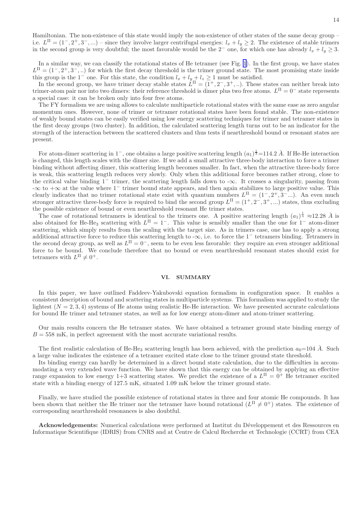<span id="page-14-0"></span>Hamiltonian. The non-existence of this state would imply the non-existence of other states of the same decay group – i.e.  $L^{\Pi} = (1^-, 2^+, 3^-, ...)$  – since they involve larger centrifugal energies:  $l_x + l_y \ge 2$ . The existence of stable trimers in the second group is very doubtful; the most favorable would be the 2<sup>−</sup> one, for which one has already  $l_x + l_y \geq 3$ .

In a similar way, we can classify the rotational states of He tetramer (see Fig. [1](#page-2-0)). In the first group, we have states  $L<sup>\Pi</sup> = (1^-, 2^+, 3^-, ...)$  for which the first decay threshold is the trimer ground state. The most promising state inside this group is the 1<sup>-</sup> one. For this state, the condition  $l_x + l_y + l_z \ge 1$  must be satisfied.

In the second group, we have trimer decay stable states  $\bar{L}^{\Pi} = (1^+, 2^-, 3^+, ...)$ . These states can neither break into trimer-atom pair nor into two dimers: their reference threshold is dimer plus two free atoms.  $L^{\Pi} = 0^-$  state represents a special case: it can be broken only into four free atoms.

The FY formalism we are using allows to calculate multiparticle rotational states with the same ease as zero angular momentum ones. However, none of trimer or tetramer rotational states have been found stable. The non-existence of weakly bound states can be easily verified using low energy scattering techniques for trimer and tetramer states in the first decay groups (two cluster). In addition, the calculated scattering length turns out to be an indicator for the strength of the interaction between the scattered clusters and thus tests if nearthreshold bound or resonant states are present.

For atom-dimer scattering in 1<sup>-</sup>, one obtains a large positive scattering length  $(a_1)^{\frac{1}{3}}$ =114.2 Å. If He-He interaction is changed, this length scales with the dimer size. If we add a small attractive three-body interaction to force a trimer binding without affecting dimer, this scattering length becomes smaller. In fact, when the attractive three-body force is weak, this scattering length reduces very slowly. Only when this additional force becomes rather strong, close to the critical value binding 1<sup>−</sup> trimer, the scattering length falls down to -∞. It crosses a singularity, passing from  $-\infty$  to  $+\infty$  at the value where 1<sup>-</sup> trimer bound state appears, and then again stabilizes to large positive value. This clearly indicates that no trimer rotational state exist with quantum numbers  $L^{\Pi} = (1^-, 2^+, 3^-, ...)$ . An even much stronger attractive three-body force is required to bind the second group  $L^{\Pi} = (1^+, 2^-, 3^+, ...)$  states, thus excluding the possible existence of bound or even nearthreshold resonant He trimer states.

The case of rotational tetramers is identical to the trimers one. A positive scattering length  $(a_1)^{\frac{1}{3}} \approx 12.28$  Å is also obtained for He-He<sub>3</sub> scattering with  $L^{\Pi} = 1^-$ . This value is sensibly smaller than the one for 1<sup>-</sup> atom-dimer scattering, which simply results from the scaling with the target size. As in trimers case, one has to apply a strong additional attractive force to reduce this scattering length to - $\infty$ , i.e. to force the 1<sup>-</sup> tetramers binding. Tetramers in the second decay group, as well as  $L^{\Pi} = 0^-$ , seem to be even less favorable: they require an even stronger additional force to be bound. We conclude therefore that no bound or even nearthreshold resonant states should exist for tetramers with  $L^{\Pi} \neq 0^+$ .

#### VI. SUMMARY

In this paper, we have outlined Faddeev-Yakubovski equation formalism in configuration space. It enables a consistent description of bound and scattering states in multiparticle systems. This formalism was applied to study the lightest  $(N = 2, 3, 4)$  systems of He atoms using realistic He-He interaction. We have presented accurate calculations for bound He trimer and tetramer states, as well as for low energy atom-dimer and atom-trimer scattering.

Our main results concern the He tetramer states. We have obtained a tetramer ground state binding energy of  $B = 558 \text{ mK}$ , in perfect agreement with the most accurate variational results.

The first realistic calculation of He-He<sub>3</sub> scattering length has been achieved, with the prediction  $a_0=104 \text{ Å}$ . Such a large value indicates the existence of a tetramer excited state close to the trimer ground state threshold.

Its binding energy can hardly be determined in a direct bound state calculation, due to the difficulties in accommodating a very extended wave function. We have shown that this energy can be obtained by applying an effective range expansion to low energy  $1+3$  scattering states. We predict the existence of a  $L<sup>\Pi</sup> = 0<sup>+</sup>$  He tetramer excited state with a binding energy of 127.5 mK, situated 1.09 mK below the trimer ground state.

Finally, we have studied the possible existence of rotational states in three and four atomic He compounds. It has been shown that neither the He trimer nor the tetramer have bound rotational  $(L^{\Pi} \neq 0^+)$  states. The existence of corresponding nearthreshold resonances is also doubtful.

Acknowledgements: Numerical calculations were performed at Institut du Développement et des Ressources en Informatique Scientifique (IDRIS) from CNRS and at Centre de Calcul Recherche et Technologie (CCRT) from CEA